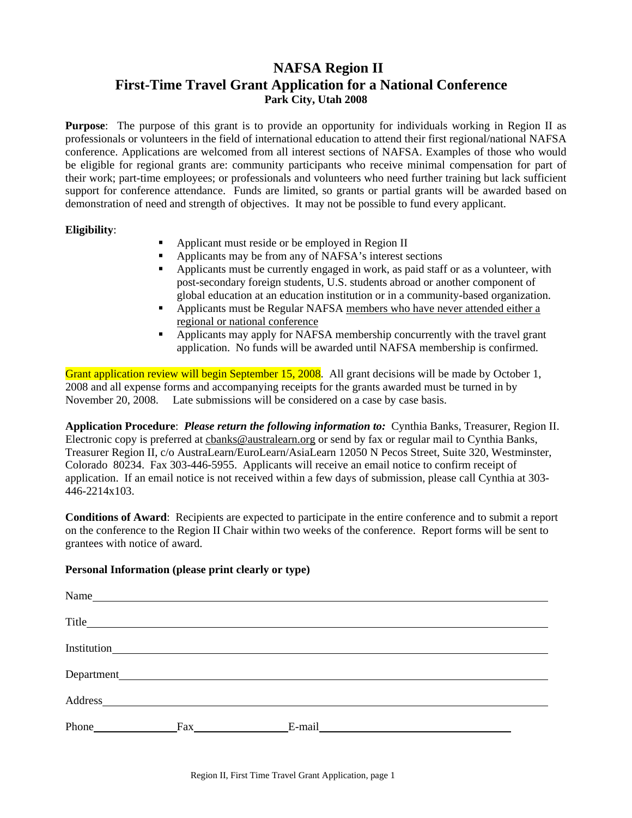# **NAFSA Region II First-Time Travel Grant Application for a National Conference Park City, Utah 2008**

**Purpose**: The purpose of this grant is to provide an opportunity for individuals working in Region II as professionals or volunteers in the field of international education to attend their first regional/national NAFSA conference. Applications are welcomed from all interest sections of NAFSA. Examples of those who would be eligible for regional grants are: community participants who receive minimal compensation for part of their work; part-time employees; or professionals and volunteers who need further training but lack sufficient support for conference attendance. Funds are limited, so grants or partial grants will be awarded based on demonstration of need and strength of objectives. It may not be possible to fund every applicant.

## **Eligibility**:

- Applicant must reside or be employed in Region II
- Applicants may be from any of NAFSA's interest sections
- Applicants must be currently engaged in work, as paid staff or as a volunteer, with post-secondary foreign students, U.S. students abroad or another component of global education at an education institution or in a community-based organization.
- Applicants must be Regular NAFSA members who have never attended either a regional or national conference
- Applicants may apply for NAFSA membership concurrently with the travel grant application. No funds will be awarded until NAFSA membership is confirmed.

Grant application review will begin September 15, 2008. All grant decisions will be made by October 1, 2008 and all expense forms and accompanying receipts for the grants awarded must be turned in by November 20, 2008. Late submissions will be considered on a case by case basis.

**Application Procedure**: *Please return the following information to:* Cynthia Banks, Treasurer, Region II. Electronic copy is preferred at cbanks@australearn.org or send by fax or regular mail to Cynthia Banks, Treasurer Region II, c/o AustraLearn/EuroLearn/AsiaLearn 12050 N Pecos Street, Suite 320, Westminster, Colorado 80234. Fax 303-446-5955. Applicants will receive an email notice to confirm receipt of application. If an email notice is not received within a few days of submission, please call Cynthia at 303- 446-2214x103.

**Conditions of Award**: Recipients are expected to participate in the entire conference and to submit a report on the conference to the Region II Chair within two weeks of the conference. Report forms will be sent to grantees with notice of award.

#### **Personal Information (please print clearly or type)**

| Name                                                                                                                                                                                                                           |                                                           |        |  |
|--------------------------------------------------------------------------------------------------------------------------------------------------------------------------------------------------------------------------------|-----------------------------------------------------------|--------|--|
|                                                                                                                                                                                                                                |                                                           |        |  |
|                                                                                                                                                                                                                                |                                                           |        |  |
| Department_                                                                                                                                                                                                                    | <u> 1980 - Andrea Brand, amerikansk politik (d. 1980)</u> |        |  |
| Address and the contract of the contract of the contract of the contract of the contract of the contract of the contract of the contract of the contract of the contract of the contract of the contract of the contract of th |                                                           |        |  |
| Phone                                                                                                                                                                                                                          | Fax                                                       | E-mail |  |